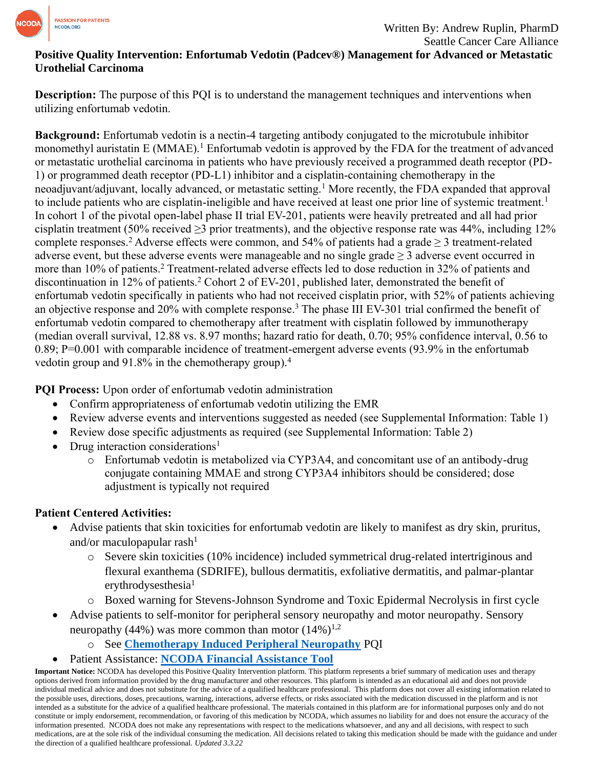

## **Positive Quality Intervention: Enfortumab Vedotin (Padcev®) Management for Advanced or Metastatic Urothelial Carcinoma**

**Description:** The purpose of this PQI is to understand the management techniques and interventions when utilizing enfortumab vedotin.

**Background:** Enfortumab vedotin is a nectin-4 targeting antibody conjugated to the microtubule inhibitor monomethyl auristatin E (MMAE).<sup>1</sup> Enfortumab vedotin is approved by the FDA for the treatment of advanced or metastatic urothelial carcinoma in patients who have previously received a programmed death receptor (PD-1) or programmed death receptor (PD-L1) inhibitor and a cisplatin-containing chemotherapy in the neoadjuvant/adjuvant, locally advanced, or metastatic setting.<sup>1</sup> More recently, the FDA expanded that approval to include patients who are cisplatin-ineligible and have received at least one prior line of systemic treatment.<sup>1</sup> In cohort 1 of the pivotal open-label phase II trial EV-201, patients were heavily pretreated and all had prior cisplatin treatment (50% received  $\geq$ 3 prior treatments), and the objective response rate was 44%, including 12% complete responses.<sup>2</sup> Adverse effects were common, and 54% of patients had a grade  $\geq$  3 treatment-related adverse event, but these adverse events were manageable and no single grade  $\geq 3$  adverse event occurred in more than 10% of patients.<sup>2</sup> Treatment-related adverse effects led to dose reduction in 32% of patients and discontinuation in 12% of patients.<sup>2</sup> Cohort 2 of EV-201, published later, demonstrated the benefit of enfortumab vedotin specifically in patients who had not received cisplatin prior, with 52% of patients achieving an objective response and 20% with complete response.<sup>3</sup> The phase III EV-301 trial confirmed the benefit of enfortumab vedotin compared to chemotherapy after treatment with cisplatin followed by immunotherapy (median overall survival, 12.88 vs. 8.97 months; hazard ratio for death, 0.70; 95% confidence interval, 0.56 to 0.89; P=0.001 with comparable incidence of treatment-emergent adverse events (93.9% in the enfortumab vedotin group and 91.8% in the chemotherapy group).<sup>4</sup>

**PQI Process:** Upon order of enfortumab vedotin administration

- Confirm appropriateness of enfortumab vedotin utilizing the EMR
- Review adverse events and interventions suggested as needed (see Supplemental Information: Table 1)
- Review dose specific adjustments as required (see Supplemental Information: Table 2)
- Drug interaction considerations<sup>1</sup>
	- o Enfortumab vedotin is metabolized via CYP3A4, and concomitant use of an antibody-drug conjugate containing MMAE and strong CYP3A4 inhibitors should be considered; dose adjustment is typically not required

# **Patient Centered Activities:**

- Advise patients that skin toxicities for enfortumab vedotin are likely to manifest as dry skin, pruritus, and/or maculopapular rash $<sup>1</sup>$ </sup>
	- o Severe skin toxicities (10% incidence) included symmetrical drug-related intertriginous and flexural exanthema (SDRIFE), bullous dermatitis, exfoliative dermatitis, and palmar-plantar erythrodysesthesia $1$
	- o Boxed warning for Stevens-Johnson Syndrome and Toxic Epidermal Necrolysis in first cycle
- Advise patients to self-monitor for peripheral sensory neuropathy and motor neuropathy. Sensory neuropathy (44%) was more common than motor  $(14\%)^{1,2}$ 
	- o See **[Chemotherapy Induced Peripheral Neuropathy](https://www.ncoda.org/wp-content/uploads/pqis/Chemotherapy-Induced-Peripheral-Neuropathy_PQI_NCODA.pdf)** PQI
- Patient Assistance: **[NCODA Financial Assistance Tool](https://www.ncoda.org/financial-assistance/)**

**Important Notice:** NCODA has developed this Positive Quality Intervention platform. This platform represents a brief summary of medication uses and therapy options derived from information provided by the drug manufacturer and other resources. This platform is intended as an educational aid and does not provide individual medical advice and does not substitute for the advice of a qualified healthcare professional. This platform does not cover all existing information related to the possible uses, directions, doses, precautions, warning, interactions, adverse effects, or risks associated with the medication discussed in the platform and is not intended as a substitute for the advice of a qualified healthcare professional. The materials contained in this platform are for informational purposes only and do not constitute or imply endorsement, recommendation, or favoring of this medication by NCODA, which assumes no liability for and does not ensure the accuracy of the information presented. NCODA does not make any representations with respect to the medications whatsoever, and any and all decisions, with respect to such medications, are at the sole risk of the individual consuming the medication. All decisions related to taking this medication should be made with the guidance and under the direction of a qualified healthcare professional. *Updated 3.3.22*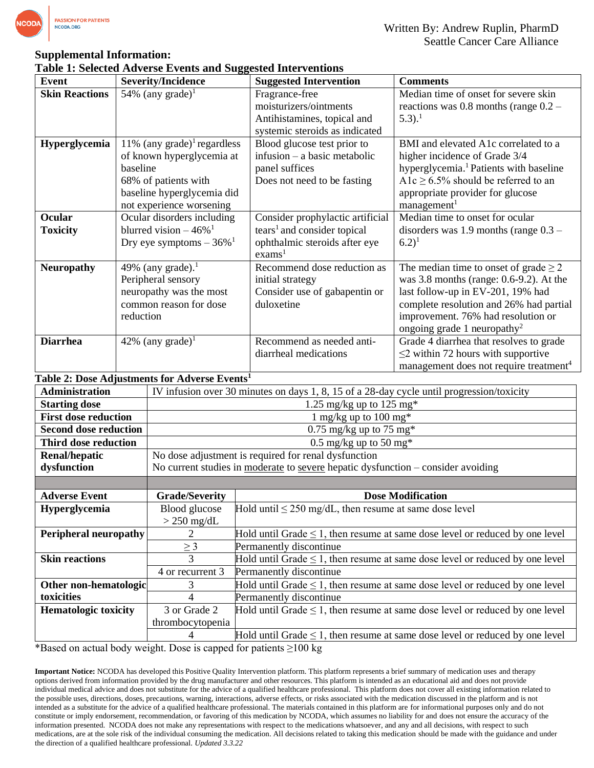

## **Supplemental Information:**

#### **Table 1: Selected Adverse Events and Suggested Interventions**

| Event                 | <b>Severity/Incidence</b>                                 | <b>Suggested Intervention</b>           | <b>Comments</b>                                    |  |  |
|-----------------------|-----------------------------------------------------------|-----------------------------------------|----------------------------------------------------|--|--|
| <b>Skin Reactions</b> | 54% (any grade) <sup>1</sup>                              | Fragrance-free                          | Median time of onset for severe skin               |  |  |
|                       |                                                           | moisturizers/ointments                  | reactions was 0.8 months (range $0.2 -$            |  |  |
|                       |                                                           | Antihistamines, topical and             | $5.3$ ). <sup>1</sup>                              |  |  |
|                       |                                                           | systemic steroids as indicated          |                                                    |  |  |
| Hyperglycemia         | 11% (any grade) <sup>1</sup> regardless                   | Blood glucose test prior to             | BMI and elevated A1c correlated to a               |  |  |
|                       | of known hyperglycemia at                                 | infusion – a basic metabolic            | higher incidence of Grade 3/4                      |  |  |
|                       | baseline                                                  | panel suffices                          | hyperglycemia. <sup>1</sup> Patients with baseline |  |  |
|                       | 68% of patients with                                      | Does not need to be fasting             | A1c $\geq$ 6.5% should be referred to an           |  |  |
|                       | baseline hyperglycemia did                                |                                         | appropriate provider for glucose                   |  |  |
|                       | not experience worsening                                  |                                         | management <sup>1</sup>                            |  |  |
| <b>Ocular</b>         | Ocular disorders including                                | Consider prophylactic artificial        | Median time to onset for ocular                    |  |  |
| <b>Toxicity</b>       | blurred vision $-46\%$ <sup>1</sup>                       | tears <sup>1</sup> and consider topical | disorders was 1.9 months (range $0.3 -$            |  |  |
|                       | Dry eye symptoms $-36\%$ <sup>1</sup>                     | ophthalmic steroids after eye           | $(6.2)^1$                                          |  |  |
|                       |                                                           | exams <sup>1</sup>                      |                                                    |  |  |
| <b>Neuropathy</b>     | 49% (any grade). <sup>1</sup>                             | Recommend dose reduction as             | The median time to onset of grade $\geq 2$         |  |  |
|                       | Peripheral sensory                                        | initial strategy                        | was $3.8$ months (range: 0.6-9.2). At the          |  |  |
|                       | neuropathy was the most                                   | Consider use of gabapentin or           | last follow-up in EV-201, 19% had                  |  |  |
|                       | common reason for dose                                    | duloxetine                              | complete resolution and 26% had partial            |  |  |
|                       | reduction                                                 |                                         | improvement. 76% had resolution or                 |  |  |
|                       |                                                           |                                         | ongoing grade 1 neuropathy <sup>2</sup>            |  |  |
| <b>Diarrhea</b>       | 42% (any grade) <sup>1</sup>                              | Recommend as needed anti-               | Grade 4 diarrhea that resolves to grade            |  |  |
|                       |                                                           | diarrheal medications                   | $\leq$ 2 within 72 hours with supportive           |  |  |
|                       |                                                           |                                         | management does not require treatment <sup>4</sup> |  |  |
|                       | Table 2: Dose Adjustments for Adverse Events <sup>1</sup> |                                         |                                                    |  |  |

| <b>Administration</b>        |                                                                                    | IV infusion over 30 minutes on days 1, 8, 15 of a 28-day cycle until progression/toxicity |  |
|------------------------------|------------------------------------------------------------------------------------|-------------------------------------------------------------------------------------------|--|
| <b>Starting dose</b>         |                                                                                    | 1.25 mg/kg up to 125 mg*                                                                  |  |
| <b>First dose reduction</b>  |                                                                                    | 1 mg/kg up to 100 mg*                                                                     |  |
| <b>Second dose reduction</b> | $0.75 \text{ mg/kg}$ up to 75 mg*                                                  |                                                                                           |  |
| Third dose reduction         | $0.5 \text{ mg/kg}$ up to 50 mg*                                                   |                                                                                           |  |
| <b>Renal/hepatic</b>         | No dose adjustment is required for renal dysfunction                               |                                                                                           |  |
| dysfunction                  | No current studies in moderate to severe hepatic dysfunction $-$ consider avoiding |                                                                                           |  |
|                              |                                                                                    |                                                                                           |  |
| <b>Adverse Event</b>         | <b>Grade/Severity</b>                                                              | <b>Dose Modification</b>                                                                  |  |
| <b>Hyperglycemia</b>         | Blood glucose                                                                      | Hold until $\leq$ 250 mg/dL, then resume at same dose level                               |  |
|                              | $>$ 250 mg/dL                                                                      |                                                                                           |  |
| <b>Peripheral neuropathy</b> |                                                                                    | Hold until Grade $\leq 1$ , then resume at same dose level or reduced by one level        |  |
|                              | $\geq$ 3                                                                           | Permanently discontinue                                                                   |  |
| <b>Skin reactions</b>        | 3                                                                                  | Hold until Grade $\leq 1$ , then resume at same dose level or reduced by one level        |  |
|                              | 4 or recurrent 3                                                                   | Permanently discontinue                                                                   |  |
| Other non-hematologic        | 3                                                                                  | Hold until Grade $\leq 1$ , then resume at same dose level or reduced by one level        |  |
| toxicities                   | 4                                                                                  | Permanently discontinue                                                                   |  |
| <b>Hematologic toxicity</b>  | 3 or Grade 2                                                                       | Hold until Grade $\leq 1$ , then resume at same dose level or reduced by one level        |  |
|                              | thrombocytopenia                                                                   |                                                                                           |  |
|                              |                                                                                    |                                                                                           |  |
|                              |                                                                                    | Hold until Grade $\leq 1$ , then resume at same dose level or reduced by one level        |  |

\*Based on actual body weight. Dose is capped for patients ≥100 kg

**Important Notice:** NCODA has developed this Positive Quality Intervention platform. This platform represents a brief summary of medication uses and therapy options derived from information provided by the drug manufacturer and other resources. This platform is intended as an educational aid and does not provide individual medical advice and does not substitute for the advice of a qualified healthcare professional. This platform does not cover all existing information related to the possible uses, directions, doses, precautions, warning, interactions, adverse effects, or risks associated with the medication discussed in the platform and is not intended as a substitute for the advice of a qualified healthcare professional. The materials contained in this platform are for informational purposes only and do not constitute or imply endorsement, recommendation, or favoring of this medication by NCODA, which assumes no liability for and does not ensure the accuracy of the information presented. NCODA does not make any representations with respect to the medications whatsoever, and any and all decisions, with respect to such medications, are at the sole risk of the individual consuming the medication. All decisions related to taking this medication should be made with the guidance and under the direction of a qualified healthcare professional. *Updated 3.3.22*